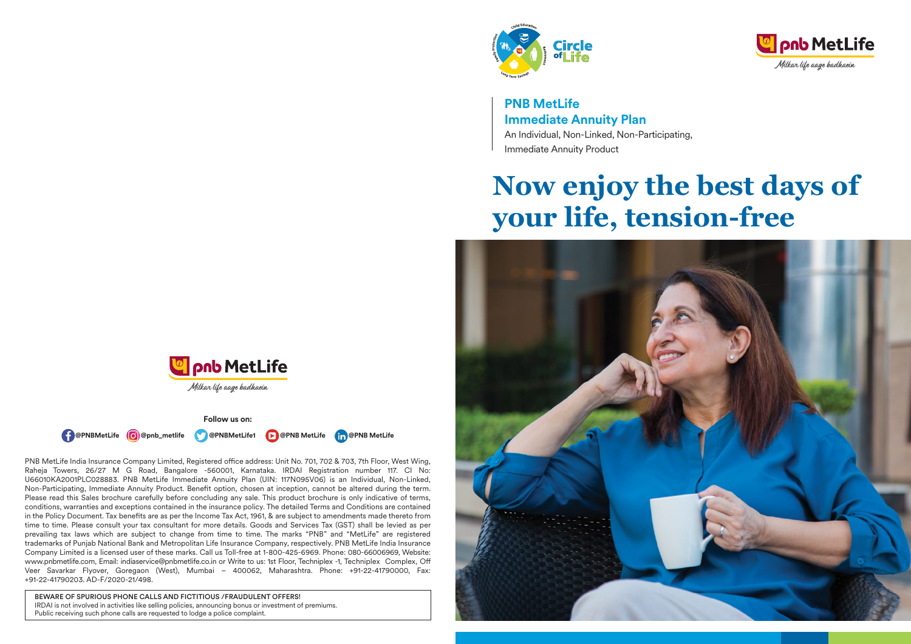



**PNB MetLife Immediate Annuity Plan** An Individual, Non-Linked, Non-Participating, Immediate Annuity Product

# **Now enjoy the best days of your life, tension-free**





**Follow us on:**



PNB MetLife India Insurance Company Limited, Registered office address: Unit No. 701, 702 & 703, 7th Floor, West Wing, Raheja Towers, 26/27 M G Road, Bangalore -560001, Karnataka. IRDAI Registration number 117. CI No: U66010KA2001PLC028883. PNB MetLife Immediate Annuity Plan (UIN: 117N095V06) is an Individual, Non-Linked, Non-Participating, Immediate Annuity Product. Benefit option, chosen at inception, cannot be altered during the term. Please read this Sales brochure carefully before concluding any sale. This product brochure is only indicative of terms, conditions, warranties and exceptions contained in the insurance policy. The detailed Terms and Conditions are contained in the Policy Document. Tax benefits are as per the Income Tax Act, 1961, & are subject to amendments made thereto from time to time. Please consult your tax consultant for more details. Goods and Services Tax (GST) shall be levied as per prevailing tax laws which are subject to change from time to time. The marks "PNB" and "MetLife" are registered trademarks of Punjab National Bank and Metropolitan Life Insurance Company, respectively. PNB MetLife India Insurance Company Limited is a licensed user of these marks. Call us Toll-free at 1-800-425-6969. Phone: 080-66006969, Website: www.pnbmetlife.com, Email: indiaservice@pnbmetlife.co.in or Write to us: 1st Floor, Techniplex -1, Techniplex Complex, O Veer Savarkar Flyover, Goregaon (West), Mumbai – 400062, Maharashtra. Phone: +91-22-41790000, Fax: +91-22-41790203. AD-F/2020-21/498.

BEWARE OF SPURIOUS PHONE CALLS AND FICTITIOUS /FRAUDULENT OFFERS! IRDAI is not involved in activities like selling policies, announcing bonus or investment of premiums. Public receiving such phone calls are requested to lodge a police complaint.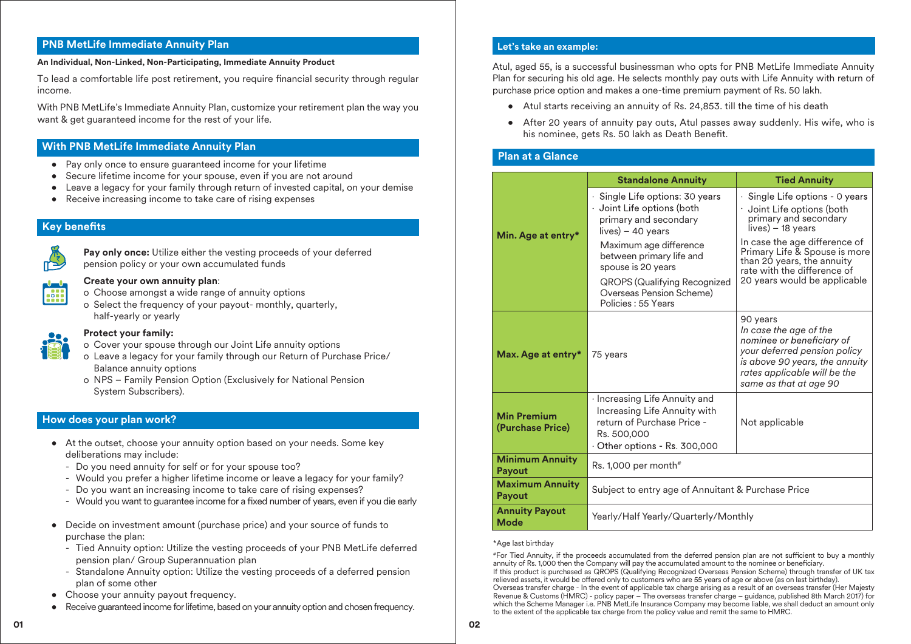# **PNB MetLife Immediate Annuity Plan**

#### **An Individual, Non-Linked, Non-Participating, Immediate Annuity Product**

To lead a comfortable life post retirement, you require financial security through regular income.

With PNB MetLife's Immediate Annuity Plan, customize your retirement plan the way you want & get guaranteed income for the rest of your life.

## **With PNB MetLife Immediate Annuity Plan**

- Pay only once to ensure guaranteed income for your lifetime
- Secure lifetime income for your spouse, even if you are not around
- Leave a legacy for your family through return of invested capital, on your demise
- Receive increasing income to take care of rising expenses

# **Key benefits**



 **Pay only once:** Utilize either the vesting proceeds of your deferred pension policy or your own accumulated funds

# **Create your own annuity plan**:

- o Choose amongst a wide range of annuity options
- o Select the frequency of your payout- monthly, quarterly, half-yearly or yearly



#### **Protect your family:**

- o Cover your spouse through our Joint Life annuity options
- o Leave a legacy for your family through our Return of Purchase Price/ Balance annuity options
- o NPS Family Pension Option (Exclusively for National Pension System Subscribers).

## **How does your plan work?**

- At the outset, choose your annuity option based on your needs. Some key deliberations may include:
	- Do you need annuity for self or for your spouse too?
	- Would you prefer a higher lifetime income or leave a legacy for your family?
	- Do you want an increasing income to take care of rising expenses?
	- Would you want to guarantee income for a fixed number of years, even if you die early
- Decide on investment amount (purchase price) and your source of funds to purchase the plan:
	- Tied Annuity option: Utilize the vesting proceeds of your PNB MetLife deferred pension plan/ Group Superannuation plan
	- Standalone Annuity option: Utilize the vesting proceeds of a deferred pension plan of some other
- Choose your annuity payout frequency.
- Receive guaranteed income for lifetime, based on your annuity option and chosen frequency.

#### **Let's take an example:**

Atul, aged 55, is a successful businessman who opts for PNB MetLife Immediate Annuity Plan for securing his old age. He selects monthly pay outs with Life Annuity with return of purchase price option and makes a one-time premium payment of Rs. 50 lakh.

- Atul starts receiving an annuity of Rs. 24,853. till the time of his death
- After 20 years of annuity pay outs, Atul passes away suddenly. His wife, who is his nominee, gets Rs. 50 lakh as Death Benefit.

# **Plan at a Glance**

|                                         | <b>Standalone Annuity</b>                                                                                                                                                                                                                                                         | <b>Tied Annuity</b>                                                                                                                                                                                                                                                      |  |
|-----------------------------------------|-----------------------------------------------------------------------------------------------------------------------------------------------------------------------------------------------------------------------------------------------------------------------------------|--------------------------------------------------------------------------------------------------------------------------------------------------------------------------------------------------------------------------------------------------------------------------|--|
| Min. Age at entry*                      | · Single Life options: 30 years<br>· Joint Life options (both<br>primary and secondary<br>$lives$ – 40 years<br>Maximum age difference<br>between primary life and<br>spouse is 20 years<br><b>QROPS (Qualifying Recognized</b><br>Overseas Pension Scheme)<br>Policies: 55 Years | · Single Life options - 0 years<br>Joint Life options (both<br>primary and secondary<br>lives) – 18 years<br>In case the age difference of<br>Primary Life & Spouse is more<br>than 20 years, the annuity<br>rate with the difference of<br>20 years would be applicable |  |
| Max. Age at entry*                      | 75 years                                                                                                                                                                                                                                                                          | 90 years<br>In case the age of the<br>nominee or beneficiary of<br>your deferred pension policy<br>is above 90 years, the annuity<br>rates applicable will be the<br>same as that at age 90                                                                              |  |
| <b>Min Premium</b><br>(Purchase Price)  | $\cdot$ Increasing Life Annuity and<br>Increasing Life Annuity with<br>return of Purchase Price -<br>Rs. 500,000<br>$\cdot$ Other options - Rs. 300,000                                                                                                                           | Not applicable                                                                                                                                                                                                                                                           |  |
| <b>Minimum Annuity</b><br><b>Payout</b> | Rs. $1,000$ per month#                                                                                                                                                                                                                                                            |                                                                                                                                                                                                                                                                          |  |
| <b>Maximum Annuity</b><br>Payout        | Subject to entry age of Annuitant & Purchase Price                                                                                                                                                                                                                                |                                                                                                                                                                                                                                                                          |  |
| <b>Annuity Payout</b><br>Mode           | Yearly/Half Yearly/Quarterly/Monthly                                                                                                                                                                                                                                              |                                                                                                                                                                                                                                                                          |  |

#### \*Age last birthday

#For Tied Annuity, if the proceeds accumulated from the deferred pension plan are not sucient to buy a monthly annuity of Rs. 1,000 then the Company will pay the accumulated amount to the nominee or beneficiary. If this product is purchased as QROPS (Qualifying Recognized Overseas Pension Scheme) through transfer of UK tax relieved assets, it would be offered only to customers who are 55 years of age or above (as on last birthday). Overseas transfer charge - In the event of applicable tax charge arising as a result of an overseas transfer (Her Majesty Revenue & Customs (HMRC) - policy paper – The overseas transfer charge – guidance, published 8th March 2017) for which the Scheme Manager i.e. PNB MetLife Insurance Company may become liable, we shall deduct an amount only to the extent of the applicable tax charge from the policy value and remit the same to HMRC.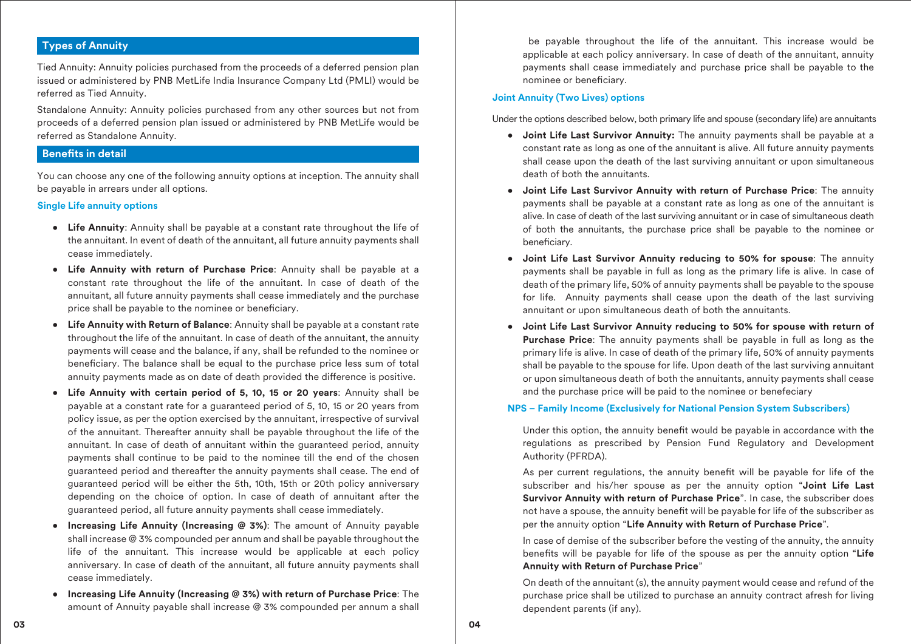# **Types of Annuity**

Tied Annuity: Annuity policies purchased from the proceeds of a deferred pension plan issued or administered by PNB MetLife India Insurance Company Ltd (PMLI) would be referred as Tied Annuity.

Standalone Annuity: Annuity policies purchased from any other sources but not from proceeds of a deferred pension plan issued or administered by PNB MetLife would be referred as Standalone Annuity.

## **Benefits in detail**

You can choose any one of the following annuity options at inception. The annuity shall be payable in arrears under all options.

#### **Single Life annuity options**

- **Life Annuity**: Annuity shall be payable at a constant rate throughout the life of the annuitant. In event of death of the annuitant, all future annuity payments shall cease immediately.
- **Life Annuity with return of Purchase Price**: Annuity shall be payable at a constant rate throughout the life of the annuitant. In case of death of the annuitant, all future annuity payments shall cease immediately and the purchase price shall be payable to the nominee or beneficiary.
- **Life Annuity with Return of Balance**: Annuity shall be payable at a constant rate throughout the life of the annuitant. In case of death of the annuitant, the annuity payments will cease and the balance, if any, shall be refunded to the nominee or beneficiary. The balance shall be equal to the purchase price less sum of total annuity payments made as on date of death provided the difference is positive.
- **Life Annuity with certain period of 5, 10, 15 or 20 years**: Annuity shall be payable at a constant rate for a guaranteed period of 5, 10, 15 or 20 years from policy issue, as per the option exercised by the annuitant, irrespective of survival of the annuitant. Thereafter annuity shall be payable throughout the life of the annuitant. In case of death of annuitant within the guaranteed period, annuity payments shall continue to be paid to the nominee till the end of the chosen guaranteed period and thereafter the annuity payments shall cease. The end of guaranteed period will be either the 5th, 10th, 15th or 20th policy anniversary depending on the choice of option. In case of death of annuitant after the guaranteed period, all future annuity payments shall cease immediately.
- **Increasing Life Annuity (Increasing @ 3%)**: The amount of Annuity payable shall increase @ 3% compounded per annum and shall be payable throughout the life of the annuitant. This increase would be applicable at each policy anniversary. In case of death of the annuitant, all future annuity payments shall cease immediately.
- **Increasing Life Annuity (Increasing @ 3%) with return of Purchase Price**: The amount of Annuity payable shall increase @ 3% compounded per annum a shall

 be payable throughout the life of the annuitant. This increase would be applicable at each policy anniversary. In case of death of the annuitant, annuity payments shall cease immediately and purchase price shall be payable to the nominee or beneficiary.

## **Joint Annuity (Two Lives) options**

Under the options described below, both primary life and spouse (secondary life) are annuitants

- **Joint Life Last Survivor Annuity:** The annuity payments shall be payable at a constant rate as long as one of the annuitant is alive. All future annuity payments shall cease upon the death of the last surviving annuitant or upon simultaneous death of both the annuitants.
- **Joint Life Last Survivor Annuity with return of Purchase Price**: The annuity payments shall be payable at a constant rate as long as one of the annuitant is alive. In case of death of the last surviving annuitant or in case of simultaneous death of both the annuitants, the purchase price shall be payable to the nominee or beneficiary.
- **Joint Life Last Survivor Annuity reducing to 50% for spouse**: The annuity payments shall be payable in full as long as the primary life is alive. In case of death of the primary life, 50% of annuity payments shall be payable to the spouse for life. Annuity payments shall cease upon the death of the last surviving annuitant or upon simultaneous death of both the annuitants.
- **Joint Life Last Survivor Annuity reducing to 50% for spouse with return of Purchase Price**: The annuity payments shall be payable in full as long as the primary life is alive. In case of death of the primary life, 50% of annuity payments shall be payable to the spouse for life. Upon death of the last surviving annuitant or upon simultaneous death of both the annuitants, annuity payments shall cease and the purchase price will be paid to the nominee or benefeciary

#### **NPS – Family Income (Exclusively for National Pension System Subscribers)**

Under this option, the annuity benefit would be payable in accordance with the regulations as prescribed by Pension Fund Regulatory and Development Authority (PFRDA).

As per current regulations, the annuity benefit will be payable for life of the subscriber and his/her spouse as per the annuity option "**Joint Life Last Survivor Annuity with return of Purchase Price**". In case, the subscriber does not have a spouse, the annuity benefit will be payable for life of the subscriber as per the annuity option "**Life Annuity with Return of Purchase Price**".

 In case of demise of the subscriber before the vesting of the annuity, the annuity benefits will be payable for life of the spouse as per the annuity option "Life **Annuity with Return of Purchase Price**"

 On death of the annuitant (s), the annuity payment would cease and refund of the purchase price shall be utilized to purchase an annuity contract afresh for living dependent parents (if any).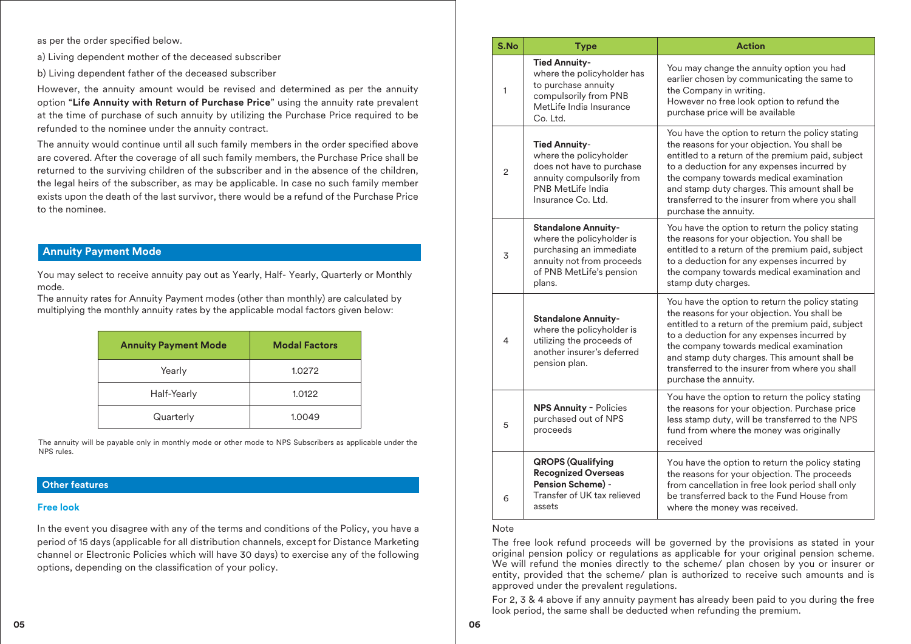as per the order specified below.

a) Living dependent mother of the deceased subscriber

b) Living dependent father of the deceased subscriber

However, the annuity amount would be revised and determined as per the annuity option "**Life Annuity with Return of Purchase Price**" using the annuity rate prevalent at the time of purchase of such annuity by utilizing the Purchase Price required to be refunded to the nominee under the annuity contract.

The annuity would continue until all such family members in the order specified above are covered. After the coverage of all such family members, the Purchase Price shall be returned to the surviving children of the subscriber and in the absence of the children, the legal heirs of the subscriber, as may be applicable. In case no such family member exists upon the death of the last survivor, there would be a refund of the Purchase Price to the nominee.

# **Annuity Payment Mode**

You may select to receive annuity pay out as Yearly, Half- Yearly, Quarterly or Monthly mode.

The annuity rates for Annuity Payment modes (other than monthly) are calculated by multiplying the monthly annuity rates by the applicable modal factors given below:

| <b>Annuity Payment Mode</b> | <b>Modal Factors</b> |
|-----------------------------|----------------------|
| Yearly                      | 1.0272               |
| Half-Yearly                 | 1.0122               |
| Quarterly                   | 1.0049               |

The annuity will be payable only in monthly mode or other mode to NPS Subscribers as applicable under the NPS rules.

## **Other features**

#### **Free look**

In the event you disagree with any of the terms and conditions of the Policy, you have a period of 15 days (applicable for all distribution channels, except for Distance Marketing channel or Electronic Policies which will have 30 days) to exercise any of the following options, depending on the classification of your policy.

| S.No | <b>Type</b>                                                                                                                                           | <b>Action</b>                                                                                                                                                                                                                                                                                                                                                               |
|------|-------------------------------------------------------------------------------------------------------------------------------------------------------|-----------------------------------------------------------------------------------------------------------------------------------------------------------------------------------------------------------------------------------------------------------------------------------------------------------------------------------------------------------------------------|
| 1    | <b>Tied Annuity-</b><br>where the policyholder has<br>to purchase annuity<br>compulsorily from PNB<br>MetLife India Insurance<br>Co. Ltd.             | You may change the annuity option you had<br>earlier chosen by communicating the same to<br>the Company in writing.<br>However no free look option to refund the<br>purchase price will be available                                                                                                                                                                        |
| 2    | <b>Tied Annuity-</b><br>where the policyholder<br>does not have to purchase<br>annuity compulsorily from<br>PNB MetLife India<br>Insurance Co. Ltd.   | You have the option to return the policy stating<br>the reasons for your objection. You shall be<br>entitled to a return of the premium paid, subject<br>to a deduction for any expenses incurred by<br>the company towards medical examination<br>and stamp duty charges. This amount shall be<br>transferred to the insurer from where you shall<br>purchase the annuity. |
| 3    | <b>Standalone Annuity-</b><br>where the policyholder is<br>purchasing an immediate<br>annuity not from proceeds<br>of PNB MetLife's pension<br>plans. | You have the option to return the policy stating<br>the reasons for your objection. You shall be<br>entitled to a return of the premium paid, subject<br>to a deduction for any expenses incurred by<br>the company towards medical examination and<br>stamp duty charges.                                                                                                  |
| 4    | <b>Standalone Annuity-</b><br>where the policyholder is<br>utilizing the proceeds of<br>another insurer's deferred<br>pension plan.                   | You have the option to return the policy stating<br>the reasons for your objection. You shall be<br>entitled to a return of the premium paid, subject<br>to a deduction for any expenses incurred by<br>the company towards medical examination<br>and stamp duty charges. This amount shall be<br>transferred to the insurer from where you shall<br>purchase the annuity. |
| 5    | <b>NPS Annuity - Policies</b><br>purchased out of NPS<br>proceeds                                                                                     | You have the option to return the policy stating<br>the reasons for your objection. Purchase price<br>less stamp duty, will be transferred to the NPS<br>fund from where the money was originally<br>received                                                                                                                                                               |
| 6    | <b>QROPS (Qualifying</b><br><b>Recognized Overseas</b><br><b>Pension Scheme) -</b><br>Transfer of UK tax relieved<br>assets                           | You have the option to return the policy stating<br>the reasons for your objection. The proceeds<br>from cancellation in free look period shall only<br>be transferred back to the Fund House from<br>where the money was received.                                                                                                                                         |

#### Note

The free look refund proceeds will be governed by the provisions as stated in your original pension policy or regulations as applicable for your original pension scheme. We will refund the monies directly to the scheme/ plan chosen by you or insurer or entity, provided that the scheme/ plan is authorized to receive such amounts and is approved under the prevalent regulations.

For 2, 3 & 4 above if any annuity payment has already been paid to you during the free look period, the same shall be deducted when refunding the premium.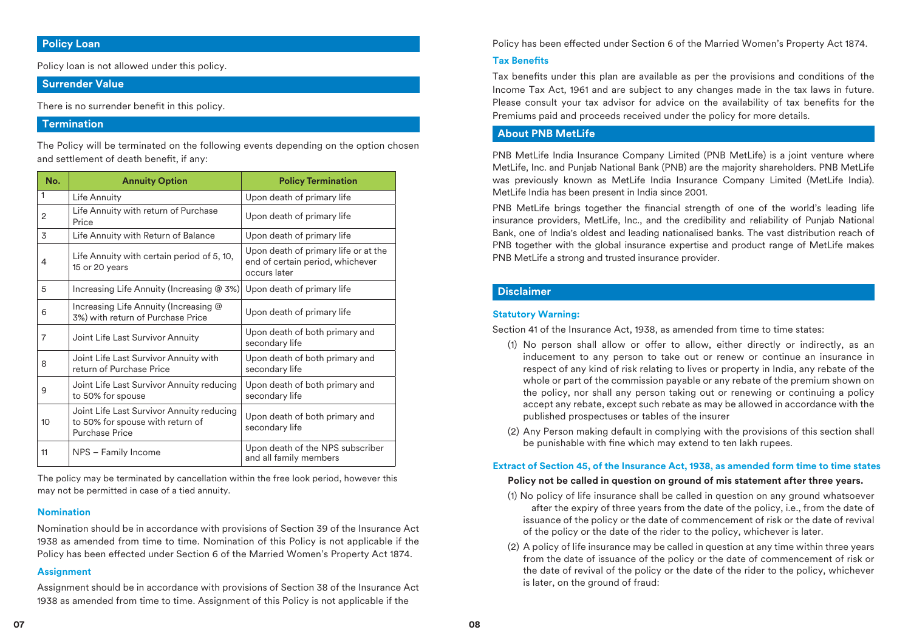# **Policy Loan**

Policy loan is not allowed under this policy.

## **Surrender Value**

There is no surrender benefit in this policy.

# **Termination**

The Policy will be terminated on the following events depending on the option chosen and settlement of death benefit, if any:

| No.            | <b>Annuity Option</b>                                                                                  | <b>Policy Termination</b>                                                                |
|----------------|--------------------------------------------------------------------------------------------------------|------------------------------------------------------------------------------------------|
| 1              | Life Annuity                                                                                           | Upon death of primary life                                                               |
| 2              | Life Annuity with return of Purchase<br>Price                                                          | Upon death of primary life                                                               |
| 3              | Life Annuity with Return of Balance                                                                    | Upon death of primary life                                                               |
| 4              | Life Annuity with certain period of 5, 10,<br>15 or 20 years                                           | Upon death of primary life or at the<br>end of certain period, whichever<br>occurs later |
| 5              | Increasing Life Annuity (Increasing $@3\%$ )                                                           | Upon death of primary life                                                               |
| 6              | Increasing Life Annuity (Increasing @<br>3%) with return of Purchase Price                             | Upon death of primary life                                                               |
| $\overline{7}$ | Joint Life Last Survivor Annuity                                                                       | Upon death of both primary and<br>secondary life                                         |
| 8              | Joint Life Last Survivor Annuity with<br>return of Purchase Price                                      | Upon death of both primary and<br>secondary life                                         |
| 9              | Joint Life Last Survivor Annuity reducing<br>to 50% for spouse                                         | Upon death of both primary and<br>secondary life                                         |
| 10             | Joint Life Last Survivor Annuity reducing<br>to 50% for spouse with return of<br><b>Purchase Price</b> | Upon death of both primary and<br>secondary life                                         |
| 11             | NPS - Family Income                                                                                    | Upon death of the NPS subscriber<br>and all family members                               |

The policy may be terminated by cancellation within the free look period, however this may not be permitted in case of a tied annuity.

#### **Nomination**

Nomination should be in accordance with provisions of Section 39 of the Insurance Act 1938 as amended from time to time. Nomination of this Policy is not applicable if the Policy has been effected under Section 6 of the Married Women's Property Act 1874.

#### **Assignment**

Assignment should be in accordance with provisions of Section 38 of the Insurance Act 1938 as amended from time to time. Assignment of this Policy is not applicable if the

Policy has been effected under Section 6 of the Married Women's Property Act 1874.

## **Tax Benets**

Tax benefits under this plan are available as per the provisions and conditions of the Income Tax Act, 1961 and are subject to any changes made in the tax laws in future. Please consult your tax advisor for advice on the availability of tax benefits for the Premiums paid and proceeds received under the policy for more details.

## **About PNB MetLife**

PNB MetLife India Insurance Company Limited (PNB MetLife) is a joint venture where MetLife, Inc. and Punjab National Bank (PNB) are the majority shareholders. PNB MetLife was previously known as MetLife India Insurance Company Limited (MetLife India). MetLife India has been present in India since 2001.

PNB MetLife brings together the financial strength of one of the world's leading life insurance providers, MetLife, Inc., and the credibility and reliability of Punjab National Bank, one of India's oldest and leading nationalised banks. The vast distribution reach of PNB together with the global insurance expertise and product range of MetLife makes PNB MetLife a strong and trusted insurance provider.

## **Disclaimer**

## **Statutory Warning:**

Section 41 of the Insurance Act, 1938, as amended from time to time states:

- (1) No person shall allow or offer to allow, either directly or indirectly, as an inducement to any person to take out or renew or continue an insurance in respect of any kind of risk relating to lives or property in India, any rebate of the whole or part of the commission payable or any rebate of the premium shown on the policy, nor shall any person taking out or renewing or continuing a policy accept any rebate, except such rebate as may be allowed in accordance with the published prospectuses or tables of the insurer
- (2) Any Person making default in complying with the provisions of this section shall be punishable with fine which may extend to ten lakh rupees.

## **Extract of Section 45, of the Insurance Act, 1938, as amended form time to time states**

#### **Policy not be called in question on ground of mis statement after three years.**

- (1) No policy of life insurance shall be called in question on any ground whatsoever after the expiry of three years from the date of the policy, i.e., from the date of issuance of the policy or the date of commencement of risk or the date of revival of the policy or the date of the rider to the policy, whichever is later.
- (2) A policy of life insurance may be called in question at any time within three years from the date of issuance of the policy or the date of commencement of risk or the date of revival of the policy or the date of the rider to the policy, whichever is later, on the ground of fraud: